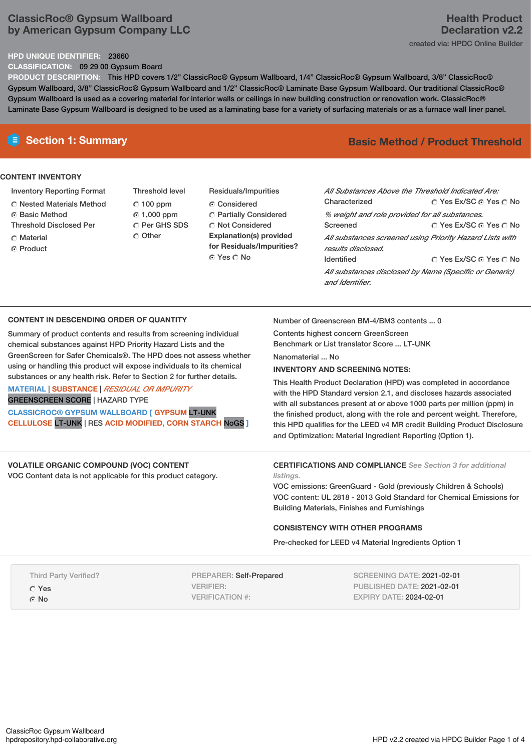# **ClassicRoc® Gypsum Wallboard by American Gypsum Company LLC**

## **HPD UNIQUE IDENTIFIER:** 23660

**CLASSIFICATION:** 09 29 00 Gypsum Board

**PRODUCT DESCRIPTION:** This HPD covers 1/2" ClassicRoc® Gypsum Wallboard, 1/4" ClassicRoc® Gypsum Wallboard, 3/8" ClassicRoc® Gypsum Wallboard, 3/8" ClassicRoc® Gypsum Wallboard and 1/2" ClassicRoc® Laminate Base Gypsum Wallboard. Our traditional ClassicRoc® Gypsum Wallboard is used as a covering material for interior walls or ceilings in new building construction or renovation work. ClassicRoc® Laminate Base Gypsum Wallboard is designed to be used as a laminating base for a variety of surfacing materials or as a furnace wall liner panel.

## **CONTENT INVENTORY**

- Inventory Reporting Format
- **C** Nested Materials Method
- **G** Basic Method
- Threshold Disclosed Per
- **C** Material
- ⊙ Product
- Threshold level 100 ppm 1,000 ppm C Per GHS SDS C Other
- Residuals/Impurities Considered **C** Partially Considered C Not Considered **Explanation(s) provided for Residuals/Impurities?** ⊙ Yes O No

# **E** Section 1: Summary **Basic Method /** Product Threshold

| All Substances Above the Threshold Indicated Are:<br>Characterized             | ∩ Yes Ex/SC ∩ Yes ∩ No |  |  |  |
|--------------------------------------------------------------------------------|------------------------|--|--|--|
|                                                                                |                        |  |  |  |
| % weight and role provided for all substances.                                 |                        |  |  |  |
| Screened                                                                       | ∩ Yes Ex/SC ⊙ Yes ∩ No |  |  |  |
| All substances screened using Priority Hazard Lists with<br>results disclosed. |                        |  |  |  |
| <b>Identified</b>                                                              | ∩ Yes Ex/SC ∩ Yes ∩ No |  |  |  |
| All substances disclosed by Name (Specific or Generic)<br>and Identifier.      |                        |  |  |  |

## **CONTENT IN DESCENDING ORDER OF QUANTITY**

Summary of product contents and results from screening individual chemical substances against HPD Priority Hazard Lists and the GreenScreen for Safer Chemicals®. The HPD does not assess whether using or handling this product will expose individuals to its chemical substances or any health risk. Refer to Section 2 for further details.

# **MATERIAL** | **SUBSTANCE** | *RESIDUAL OR IMPURITY* GREENSCREEN SCORE | HAZARD TYPE

**CLASSICROC® GYPSUM WALLBOARD [ GYPSUM** LT-UNK **CELLULOSE** LT-UNK | RES **ACID MODIFIED, CORN STARCH** NoGS **]**

### **VOLATILE ORGANIC COMPOUND (VOC) CONTENT** VOC Content data is not applicable for this product category.

Number of Greenscreen BM-4/BM3 contents ... 0

Contents highest concern GreenScreen

Benchmark or List translator Score ... LT-UNK

Nanomaterial No.

## **INVENTORY AND SCREENING NOTES:**

This Health Product Declaration (HPD) was completed in accordance with the HPD Standard version 2.1, and discloses hazards associated with all substances present at or above 1000 parts per million (ppm) in the finished product, along with the role and percent weight. Therefore, this HPD qualifies for the LEED v4 MR credit Building Product Disclosure and Optimization: Material Ingredient Reporting (Option 1).

#### **CERTIFICATIONS AND COMPLIANCE** *See Section 3 for additional listings.*

VOC emissions: GreenGuard - Gold (previously Children & Schools) VOC content: UL 2818 - 2013 Gold Standard for Chemical Emissions for Building Materials, Finishes and Furnishings

## **CONSISTENCY WITH OTHER PROGRAMS**

Pre-checked for LEED v4 Material Ingredients Option 1

| <b>Third Party Verified?</b> | <b>PREPARER: Self-Prepared</b> | <b>SCREENING DATE: 2021-02-01</b> |
|------------------------------|--------------------------------|-----------------------------------|
| O Yes                        | VERIFIER:                      | PUBLISHED DATE: 2021-02-01        |
| $\odot$ No                   | VERIFICATION #:                | <b>EXPIRY DATE: 2024-02-01</b>    |
|                              |                                |                                   |

# **Health Product Declaration v2.2** created via: HPDC Online Builder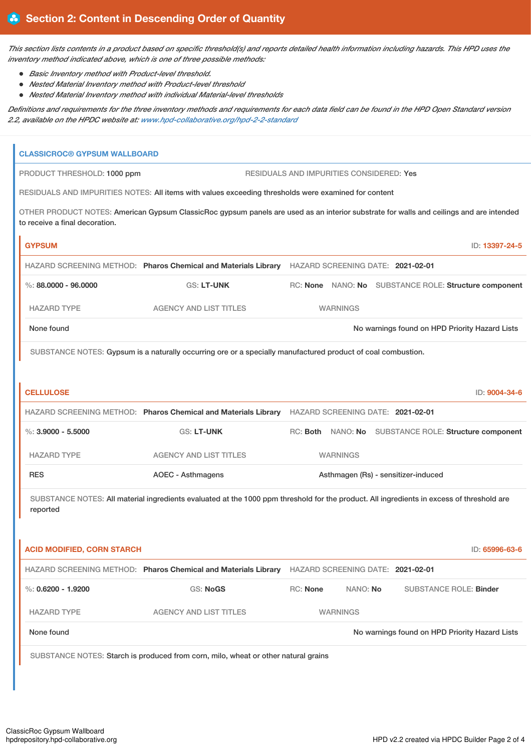This section lists contents in a product based on specific threshold(s) and reports detailed health information including hazards. This HPD uses the *inventory method indicated above, which is one of three possible methods:*

- *Basic Inventory method with Product-level threshold.*
- *Nested Material Inventory method with Product-level threshold*
- *Nested Material Inventory method with individual Material-level thresholds*

Definitions and requirements for the three inventory methods and requirements for each data field can be found in the HPD Open Standard version *2.2, available on the HPDC website at: [www.hpd-collaborative.org/hpd-2-2-standard](https://www.hpd-collaborative.org/hpd-2-2-standard)*

| <b>CLASSICROC® GYPSUM WALLBOARD</b>                                                              |                                                                                                                                                       |                                                                                                                                         |                                     |                 |  |                               |                                                       |
|--------------------------------------------------------------------------------------------------|-------------------------------------------------------------------------------------------------------------------------------------------------------|-----------------------------------------------------------------------------------------------------------------------------------------|-------------------------------------|-----------------|--|-------------------------------|-------------------------------------------------------|
|                                                                                                  | PRODUCT THRESHOLD: 1000 ppm<br>RESIDUALS AND IMPURITIES CONSIDERED: Yes                                                                               |                                                                                                                                         |                                     |                 |  |                               |                                                       |
|                                                                                                  | RESIDUALS AND IMPURITIES NOTES: All items with values exceeding thresholds were examined for content                                                  |                                                                                                                                         |                                     |                 |  |                               |                                                       |
|                                                                                                  | to receive a final decoration.                                                                                                                        | OTHER PRODUCT NOTES: American Gypsum ClassicRoc gypsum panels are used as an interior substrate for walls and ceilings and are intended |                                     |                 |  |                               |                                                       |
|                                                                                                  | <b>GYPSUM</b>                                                                                                                                         |                                                                                                                                         |                                     |                 |  |                               | ID: 13397-24-5                                        |
| HAZARD SCREENING METHOD: Pharos Chemical and Materials Library HAZARD SCREENING DATE: 2021-02-01 |                                                                                                                                                       |                                                                                                                                         |                                     |                 |  |                               |                                                       |
|                                                                                                  | $\%$ : 88.0000 - 96.0000                                                                                                                              | GS: LT-UNK                                                                                                                              |                                     |                 |  |                               | RC: None NANO: No SUBSTANCE ROLE: Structure component |
|                                                                                                  | <b>HAZARD TYPE</b>                                                                                                                                    | <b>AGENCY AND LIST TITLES</b>                                                                                                           |                                     | <b>WARNINGS</b> |  |                               |                                                       |
| None found<br>No warnings found on HPD Priority Hazard Lists                                     |                                                                                                                                                       |                                                                                                                                         |                                     |                 |  |                               |                                                       |
|                                                                                                  |                                                                                                                                                       | SUBSTANCE NOTES: Gypsum is a naturally occurring ore or a specially manufactured product of coal combustion.                            |                                     |                 |  |                               |                                                       |
|                                                                                                  |                                                                                                                                                       |                                                                                                                                         |                                     |                 |  |                               |                                                       |
|                                                                                                  | <b>CELLULOSE</b>                                                                                                                                      |                                                                                                                                         |                                     |                 |  |                               | ID: 9004-34-6                                         |
|                                                                                                  |                                                                                                                                                       | HAZARD SCREENING METHOD: Pharos Chemical and Materials Library HAZARD SCREENING DATE: 2021-02-01                                        |                                     |                 |  |                               |                                                       |
|                                                                                                  | $\%$ : 3.9000 - 5.5000                                                                                                                                | <b>GS: LT-UNK</b>                                                                                                                       |                                     |                 |  |                               | RC: Both NANO: No SUBSTANCE ROLE: Structure component |
|                                                                                                  | <b>HAZARD TYPE</b>                                                                                                                                    | <b>AGENCY AND LIST TITLES</b>                                                                                                           |                                     | <b>WARNINGS</b> |  |                               |                                                       |
|                                                                                                  | <b>RES</b>                                                                                                                                            | <b>AOEC - Asthmagens</b>                                                                                                                | Asthmagen (Rs) - sensitizer-induced |                 |  |                               |                                                       |
|                                                                                                  | SUBSTANCE NOTES: All material ingredients evaluated at the 1000 ppm threshold for the product. All ingredients in excess of threshold are<br>reported |                                                                                                                                         |                                     |                 |  |                               |                                                       |
|                                                                                                  | <b>ACID MODIFIED, CORN STARCH</b>                                                                                                                     |                                                                                                                                         |                                     |                 |  |                               | ID: 65996-63-6                                        |
|                                                                                                  |                                                                                                                                                       | HAZARD SCREENING METHOD: Pharos Chemical and Materials Library                                                                          | HAZARD SCREENING DATE: 2021-02-01   |                 |  |                               |                                                       |
|                                                                                                  | $\%$ : 0.6200 - 1.9200                                                                                                                                | <b>GS: NoGS</b>                                                                                                                         | RC: None                            | NANO: No        |  | <b>SUBSTANCE ROLE: Binder</b> |                                                       |
|                                                                                                  | <b>HAZARD TYPE</b>                                                                                                                                    | <b>AGENCY AND LIST TITLES</b>                                                                                                           | <b>WARNINGS</b>                     |                 |  |                               |                                                       |
|                                                                                                  | None found                                                                                                                                            | No warnings found on HPD Priority Hazard Lists                                                                                          |                                     |                 |  |                               |                                                       |
|                                                                                                  | SUBSTANCE NOTES: Starch is produced from corn, milo, wheat or other natural grains                                                                    |                                                                                                                                         |                                     |                 |  |                               |                                                       |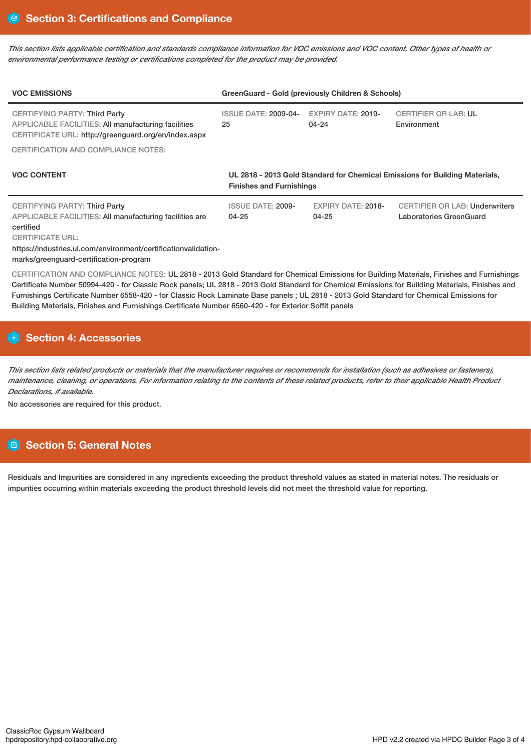This section lists applicable certification and standards compliance information for VOC emissions and VOC content. Other types of health or *environmental performance testing or certifications completed for the product may be provided.*

| <b>VOC EMISSIONS</b>                                                                                                                                                                                      | GreenGuard - Gold (previously Children & Schools)                                                              |                                        |                                                                  |  |  |
|-----------------------------------------------------------------------------------------------------------------------------------------------------------------------------------------------------------|----------------------------------------------------------------------------------------------------------------|----------------------------------------|------------------------------------------------------------------|--|--|
| <b>CERTIFYING PARTY: Third Party</b><br>APPLICABLE FACILITIES: All manufacturing facilities<br>CERTIFICATE URL: http://greenguard.org/en/index.aspx                                                       | <b>ISSUE DATE: 2009-04-</b><br>25                                                                              | <b>EXPIRY DATE: 2019-</b><br>$04 - 24$ | <b>CERTIFIER OR LAB: UL</b><br>Environment                       |  |  |
| <b>CERTIFICATION AND COMPLIANCE NOTES:</b>                                                                                                                                                                |                                                                                                                |                                        |                                                                  |  |  |
| <b>VOC CONTENT</b>                                                                                                                                                                                        | UL 2818 - 2013 Gold Standard for Chemical Emissions for Building Materials,<br><b>Finishes and Furnishings</b> |                                        |                                                                  |  |  |
| <b>CERTIFYING PARTY: Third Party</b><br>APPLICABLE FACILITIES: All manufacturing facilities are<br>certified<br><b>CERTIFICATE URL:</b><br>https://industries.ul.com/environment/certificationvalidation- | <b>ISSUE DATE: 2009-</b><br>$04 - 25$                                                                          | <b>EXPIRY DATE: 2018-</b><br>$04 - 25$ | <b>CERTIFIER OR LAB: Underwriters</b><br>Laboratories GreenGuard |  |  |

marks/greenguard-certification-program

CERTIFICATION AND COMPLIANCE NOTES: UL 2818 - 2013 Gold Standard for Chemical Emissions for Building Materials, Finishes and Furnishings Certificate Number 50994-420 - for Classic Rock panels; UL 2818 - 2013 Gold Standard for Chemical Emissions for Building Materials, Finishes and Furnishings Certificate Number 6558-420 - for Classic Rock Laminate Base panels ; UL 2818 - 2013 Gold Standard for Chemical Emissions for Building Materials, Finishes and Furnishings Certificate Number 6560-420 - for Exterior Soffit panels

# **Section 4: Accessories**

This section lists related products or materials that the manufacturer requires or recommends for installation (such as adhesives or fasteners), maintenance, cleaning, or operations. For information relating to the contents of these related products, refer to their applicable Health Product *Declarations, if available.*

No accessories are required for this product.

# **Section 5: General Notes**

Residuals and Impurities are considered in any ingredients exceeding the product threshold values as stated in material notes. The residuals or impurities occurring within materials exceeding the product threshold levels did not meet the threshold value for reporting.